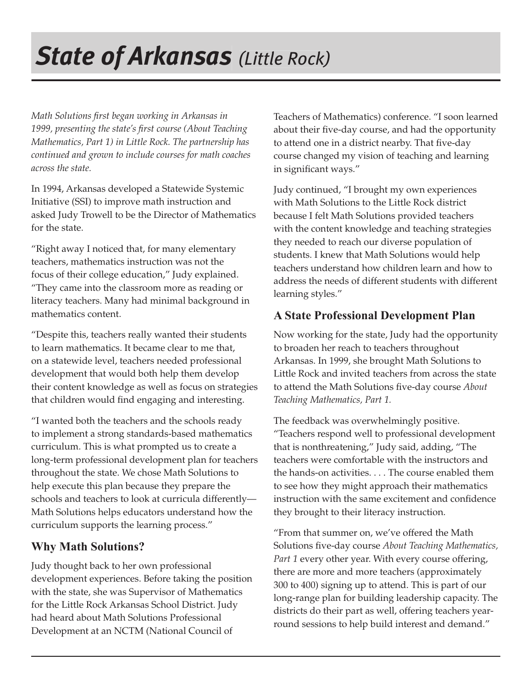# *State of Arkansas (Little Rock) Little*

*Math Solutions fi rst began working in Arkansas in*  1999, presenting the state's first course (About Teaching *Mathematics, Part 1) in Little Rock. The partnership has continued and grown to include courses for math coaches across the state.*

In 1994, Arkansas developed a Statewide Systemic Initiative (SSI) to improve math instruction and asked Judy Trowell to be the Director of Mathematics for the state.

"Right away I noticed that, for many elementary teachers, mathematics instruction was not the focus of their college education," Judy explained. "They came into the classroom more as reading or literacy teachers. Many had minimal background in mathematics content.

"Despite this, teachers really wanted their students to learn mathematics. It became clear to me that, on a statewide level, teachers needed professional development that would both help them develop their content knowledge as well as focus on strategies that children would find engaging and interesting.

"I wanted both the teachers and the schools ready to implement a strong standards-based mathematics curriculum. This is what prompted us to create a long-term professional development plan for teachers throughout the state. We chose Math Solutions to help execute this plan because they prepare the schools and teachers to look at curricula differently— Math Solutions helps educators understand how the curriculum supports the learning process."

## **Why Math Solutions?**

Judy thought back to her own professional development experiences. Before taking the position with the state, she was Supervisor of Mathematics for the Little Rock Arkansas School District. Judy had heard about Math Solutions Professional Development at an NCTM (National Council of

Teachers of Mathematics) conference. "I soon learned about their five-day course, and had the opportunity to attend one in a district nearby. That five-day course changed my vision of teaching and learning in significant ways."

Judy continued, "I brought my own experiences with Math Solutions to the Little Rock district because I felt Math Solutions provided teachers with the content knowledge and teaching strategies they needed to reach our diverse population of students. I knew that Math Solutions would help teachers understand how children learn and how to address the needs of different students with different learning styles."

### **A State Professional Development Plan**

Now working for the state, Judy had the opportunity to broaden her reach to teachers throughout Arkansas. In 1999, she brought Math Solutions to Little Rock and invited teachers from across the state to attend the Math Solutions five-day course *About Teaching Mathematics, Part 1.* 

The feedback was overwhelmingly positive. "Teachers respond well to professional development that is nonthreatening," Judy said, adding, "The teachers were comfortable with the instructors and the hands-on activities. . . . The course enabled them to see how they might approach their mathematics instruction with the same excitement and confidence they brought to their literacy instruction.

"From that summer on, we've offered the Math Solutions five-day course *About Teaching Mathematics*, *Part 1* every other year. With every course offering, there are more and more teachers (approximately 300 to 400) signing up to attend. This is part of our long-range plan for building leadership capacity. The districts do their part as well, offering teachers yearround sessions to help build interest and demand."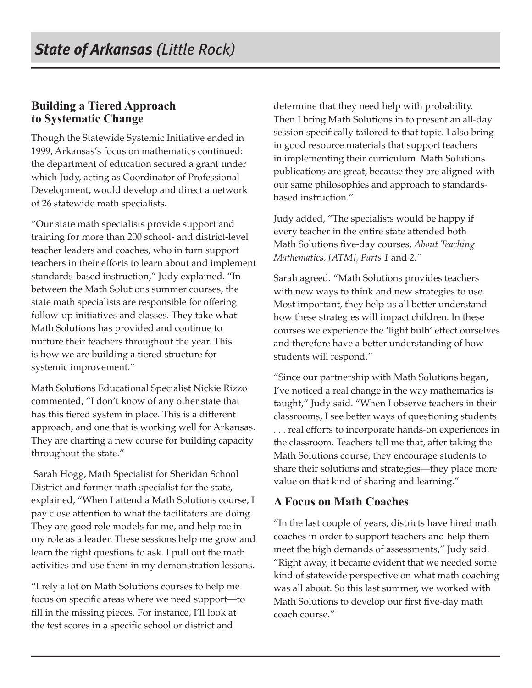#### **Building a Tiered Approach to Systematic Change**

Though the Statewide Systemic Initiative ended in 1999, Arkansas's focus on mathematics continued: the department of education secured a grant under which Judy, acting as Coordinator of Professional Development, would develop and direct a network of 26 statewide math specialists.

"Our state math specialists provide support and training for more than 200 school- and district-level teacher leaders and coaches, who in turn support teachers in their efforts to learn about and implement standards-based instruction," Judy explained. "In between the Math Solutions summer courses, the state math specialists are responsible for offering follow-up initiatives and classes. They take what Math Solutions has provided and continue to nurture their teachers throughout the year. This is how we are building a tiered structure for systemic improvement."

Math Solutions Educational Specialist Nickie Rizzo commented, "I don't know of any other state that has this tiered system in place. This is a different approach, and one that is working well for Arkansas. They are charting a new course for building capacity throughout the state."

 Sarah Hogg, Math Specialist for Sheridan School District and former math specialist for the state, explained, "When I attend a Math Solutions course, I pay close attention to what the facilitators are doing. They are good role models for me, and help me in my role as a leader. These sessions help me grow and learn the right questions to ask. I pull out the math activities and use them in my demonstration lessons.

"I rely a lot on Math Solutions courses to help me focus on specific areas where we need support-to fill in the missing pieces. For instance, I'll look at the test scores in a specific school or district and

determine that they need help with probability. Then I bring Math Solutions in to present an all-day session specifically tailored to that topic. I also bring in good resource materials that support teachers in implementing their curriculum. Math Solutions publications are great, because they are aligned with our same philosophies and approach to standardsbased instruction."

Judy added, "The specialists would be happy if every teacher in the entire state attended both Math Solutions five-day courses, *About Teaching Mathematics, [ATM], Parts 1* and *2."* 

Sarah agreed. "Math Solutions provides teachers with new ways to think and new strategies to use. Most important, they help us all better understand how these strategies will impact children. In these courses we experience the 'light bulb' effect ourselves and therefore have a better understanding of how students will respond."

"Since our partnership with Math Solutions began, I've noticed a real change in the way mathematics is taught," Judy said. "When I observe teachers in their classrooms, I see better ways of questioning students . . . real efforts to incorporate hands-on experiences in the classroom. Teachers tell me that, after taking the Math Solutions course, they encourage students to share their solutions and strategies—they place more value on that kind of sharing and learning."

#### **A Focus on Math Coaches**

"In the last couple of years, districts have hired math coaches in order to support teachers and help them meet the high demands of assessments," Judy said. "Right away, it became evident that we needed some kind of statewide perspective on what math coaching was all about. So this last summer, we worked with Math Solutions to develop our first five-day math coach course."